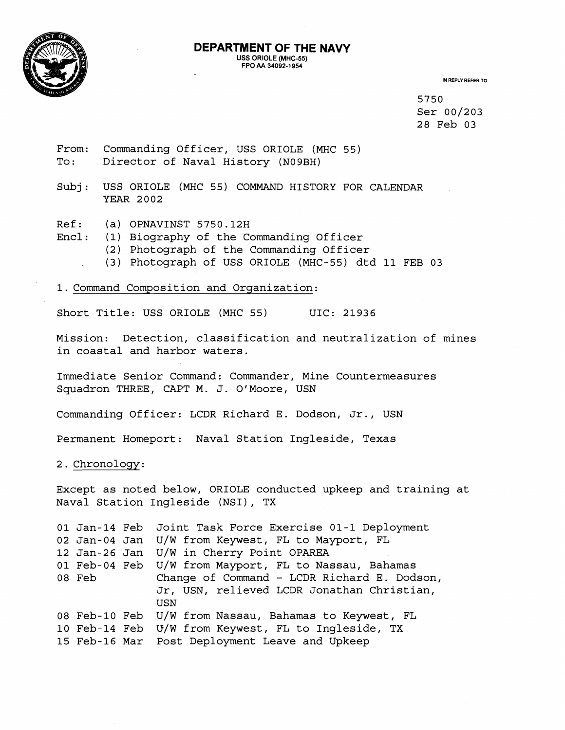

## **DEPARTMENT OF THE NAVY USS ORIOLE (MHC-55) FPO AA 34092-1 954**

**IN REPLY REFER TO:** 

5750 Ser 00/203 28 Feb 03

- From: Commanding Officer, USS ORIOLE (MHC 55) To: Director of Naval History (N09BH)
- Subj: USS ORIOLE (MHC 55) COMMAND HISTORY FOR CALENDAR YEAR 2002
- Ref: (a) OPNAVINST 5750.12H
- Encl: (1) Biography of the Commanding Officer
	- (2) Photograph of the Commanding Officer
	- . (3) Photograph of USS ORIOLE (MHC-55) dtd 11 FEB 03

1. Command Composition and Organization:

Short Title: USS ORIOLE (MHC 55) UIC: 21936

Mission: Detection, classification and neutralization of mines in coastal and harbor waters.

Immediate Senior Command: Commander, Mine Countermeasures Squadron THREE, CAPT M. J. O'Moore, USN

Commanding Officer: LCDR Richard E. Dodson, Jr., USN

Permanent Homeport: Naval Station Ingleside, Texas

2. Chronology:

Except as noted below, ORIOLE conducted upkeep and training at Naval Station Ingleside (NSI), TX

```
01 Jan-14 Feb 
Joint Task Force Exercise 01-1 Deployment 
02 Jan-04 Jan 
U/W from Keywest, FL to Mayport, FL 
12 Jan-26 Jan 
U/W in Cherry Point OPAREA 
01 Feb-04 Feb 
U/W from Mayport, FL to Nassau, Bahamas 
08 Feb 
08 Feb-10 Feb 
U/W from Nassau, Bahamas to Keywest, FL 
10 Feb-14 Feb 
U/W from Keywest, FL to Ingleside, TX 
15 Feb-16 Mar 
Post Deployment Leave and Upkeep Change of Command - LCDR Richard E. Dodson, 
               Jr, USN, relieved LCDR Jonathan Christian, 
               USN
```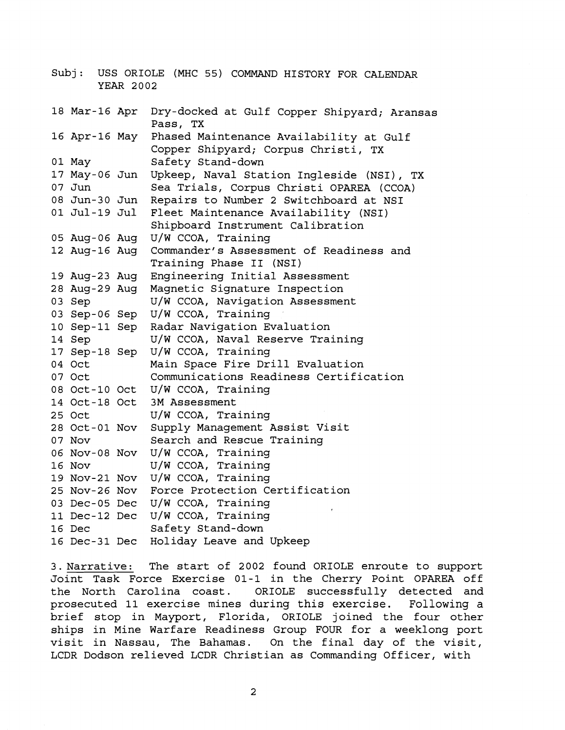Subj: USS ORIOLE (MHC 55) COMMAND HISTORY FOR CALENDAR YEAR 2002 18 Mar-16 Apr Dry-docked at Gulf Copper Shipyard; Aransas Pass, TX Phased Maintenance Availability at Gulf 16 Apr-16 May Copper Shipyard; Corpus Christi, TX 01 May Safety Stand-down 17 May-06 Jun Upkeep, Naval Station Ingleside (NSI), TX  $07$  Jun Sea Trials, Corpus Christi OPAREA (CCOA) 08 Jun-30 Jun Repairs to Number 2 Switchboard at NSI 01 Jul-19 Jul Fleet Maintenance Availability (NSI) Shipboard Instrument Calibration 05 Aug-06 Aug U/W CCOA, Training 12 Aug-16 Aug Commander's Assessment of Readiness and Training Phase I1 (NSI) 19 Aug-23 Aug Engineering Initial Assessment 28 Aug-29 Aug Magnetic Signature Inspection U/W CCOA, Navigation Assessment 03 Sep Sep-06 Sep u/W CCOA, Training Radar Navigation Evaluation 10 Sep-11 Sep 14 Sep U/W CCOA, Naval Reserve Training Sep-18 Sep U/W CCOA, Training 04 Oct Main Space Fire Drill Evaluation Communications Readiness Certification 07 Oct Oct-10 Oct u/W CCOA, Training Oct-18 Oct 3M Assessment U/W CCOA, Training 25 Oct Oct-01 NOV Supply Management Assist Visit Search and Rescue Training 07 Nov NOV-08 NOV U/W CCOA, Training u/W CCOA, Training 16 Nov NOV-21 NOV u/W CCOA, Training NOV-26 NOV Force Protection Certification Dec-05 Dec u/W CCOA, Training Dec-12 Dec u/W CCOA, Training Safety Stand-down 16 Dec Dec-31 Dec Holiday Leave and Upkeep

3. Narrative: The start of 2002 found ORIOLE enroute to support Joint Task Force Exercise 01-1 in the Cherry Point OPAREA off the North Carolina coast. ORIOLE successfully detected and prosecuted 11 exercise mines during this exercise. Following a brief stop in Mayport, Florida, ORIOLE joined the four other ships in Mine Warfare Readiness Group FOUR for a weeklong port visit in Nassau, The Bahamas. On the final day of the visit, LCDR Dodson relieved LCDR Christian as Commanding Officer, with